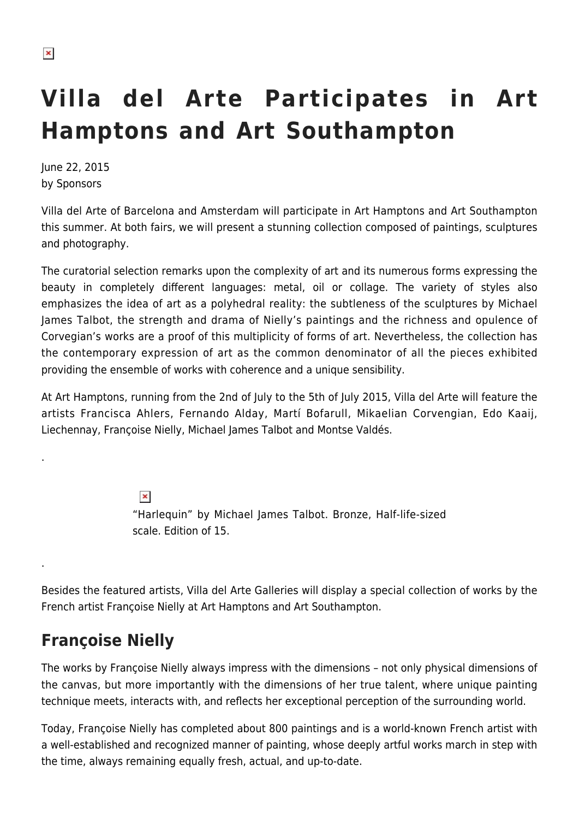.

.

# **Villa del Arte Participates in Art Hamptons and Art Southampton**

June 22, 2015 by Sponsors

Villa del Arte of Barcelona and Amsterdam will participate in Art Hamptons and Art Southampton this summer. At both fairs, we will present a stunning collection composed of paintings, sculptures and photography.

The curatorial selection remarks upon the complexity of art and its numerous forms expressing the beauty in completely different languages: metal, oil or collage. The variety of styles also emphasizes the idea of art as a polyhedral reality: the subtleness of the sculptures by Michael James Talbot, the strength and drama of Nielly's paintings and the richness and opulence of Corvegian's works are a proof of this multiplicity of forms of art. Nevertheless, the collection has the contemporary expression of art as the common denominator of all the pieces exhibited providing the ensemble of works with coherence and a unique sensibility.

At Art Hamptons, running from the 2nd of July to the 5th of July 2015, Villa del Arte will feature the artists Francisca Ahlers, Fernando Alday, Martí Bofarull, Mikaelian Corvengian, Edo Kaaij, Liechennay, Françoise Nielly, Michael James Talbot and Montse Valdés.

> $\pmb{\times}$ "Harlequin" by Michael James Talbot. Bronze, Half-life-sized scale. Edition of 15.

Besides the featured artists, Villa del Arte Galleries will display a special collection of works by the French artist Françoise Nielly at Art Hamptons and Art Southampton.

## **Françoise Nielly**

The works by Françoise Nielly always impress with the dimensions – not only physical dimensions of the canvas, but more importantly with the dimensions of her true talent, where unique painting technique meets, interacts with, and reflects her exceptional perception of the surrounding world.

Today, Françoise Nielly has completed about 800 paintings and is a world-known French artist with a well-established and recognized manner of painting, whose deeply artful works march in step with the time, always remaining equally fresh, actual, and up-to-date.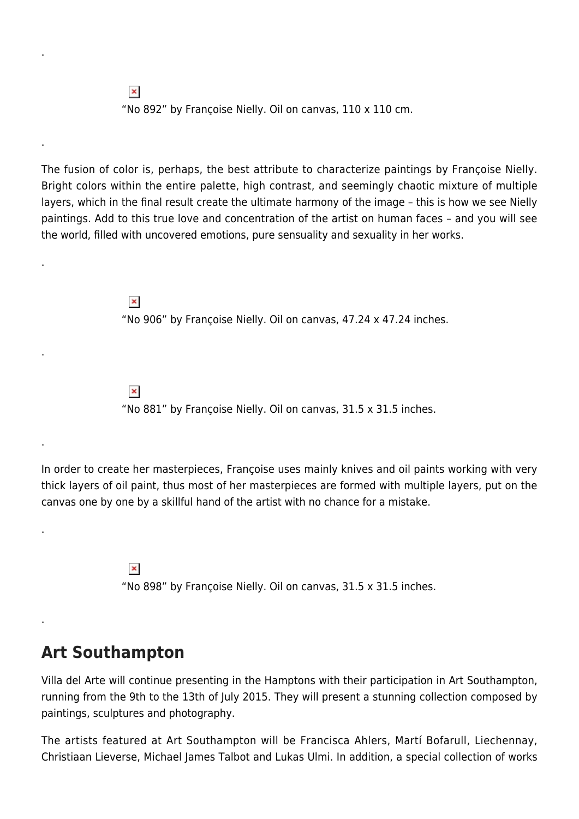$\pmb{\times}$ "No 892" by Françoise Nielly. Oil on canvas, 110 x 110 cm.

The fusion of color is, perhaps, the best attribute to characterize paintings by Françoise Nielly. Bright colors within the entire palette, high contrast, and seemingly chaotic mixture of multiple layers, which in the final result create the ultimate harmony of the image – this is how we see Nielly paintings. Add to this true love and concentration of the artist on human faces – and you will see the world, filled with uncovered emotions, pure sensuality and sexuality in her works.

> $\pmb{\times}$ "No 906" by Françoise Nielly. Oil on canvas, 47.24 x 47.24 inches.

 $\pmb{\times}$ "No 881" by Françoise Nielly. Oil on canvas, 31.5 x 31.5 inches.

In order to create her masterpieces, Françoise uses mainly knives and oil paints working with very thick layers of oil paint, thus most of her masterpieces are formed with multiple layers, put on the canvas one by one by a skillful hand of the artist with no chance for a mistake.

> $\pmb{\times}$ "No 898" by Françoise Nielly. Oil on canvas, 31.5 x 31.5 inches.

#### **Art Southampton**

.

.

.

.

.

.

.

Villa del Arte will continue presenting in the Hamptons with their participation in Art Southampton, running from the 9th to the 13th of July 2015. They will present a stunning collection composed by paintings, sculptures and photography.

The artists featured at Art Southampton will be Francisca Ahlers, Martí Bofarull, Liechennay, Christiaan Lieverse, Michael James Talbot and Lukas Ulmi. In addition, a special collection of works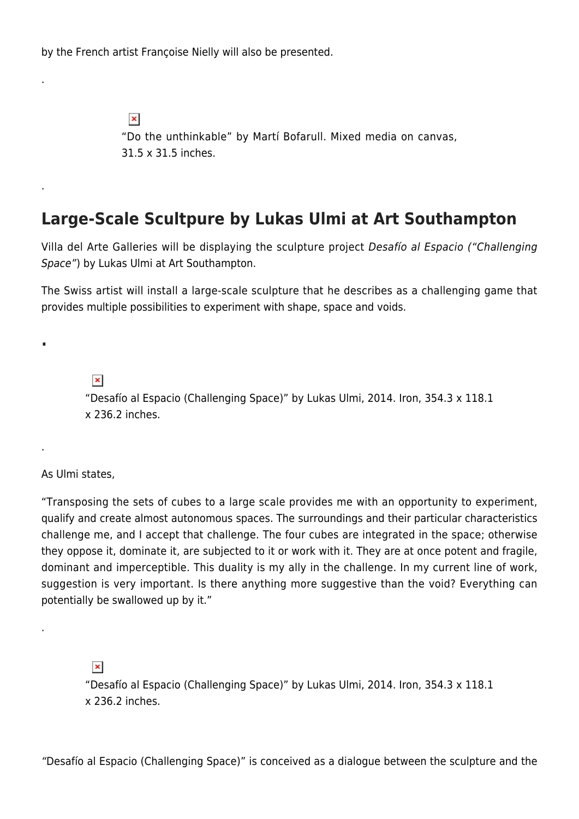by the French artist Françoise Nielly will also be presented.

 $\pmb{\times}$ "Do the unthinkable" by Martí Bofarull. Mixed media on canvas, 31.5 x 31.5 inches.

### **Large-Scale Scultpure by Lukas Ulmi at Art Southampton**

Villa del Arte Galleries will be displaying the sculpture project Desafío al Espacio ("Challenging Space") by Lukas Ulmi at Art Southampton.

The Swiss artist will install a large-scale sculpture that he describes as a challenging game that provides multiple possibilities to experiment with shape, space and voids.

 $\pmb{\times}$ 

"Desafío al Espacio (Challenging Space)" by Lukas Ulmi, 2014. Iron, 354.3 x 118.1 x 236.2 inches.

As Ulmi states,

.

.

**.**

.

.

"Transposing the sets of cubes to a large scale provides me with an opportunity to experiment, qualify and create almost autonomous spaces. The surroundings and their particular characteristics challenge me, and I accept that challenge. The four cubes are integrated in the space; otherwise they oppose it, dominate it, are subjected to it or work with it. They are at once potent and fragile, dominant and imperceptible. This duality is my ally in the challenge. In my current line of work, suggestion is very important. Is there anything more suggestive than the void? Everything can potentially be swallowed up by it."

 $\pmb{\times}$ 

"Desafío al Espacio (Challenging Space)" by Lukas Ulmi, 2014. Iron, 354.3 x 118.1 x 236.2 inches.

"Desafío al Espacio (Challenging Space)" is conceived as a dialogue between the sculpture and the